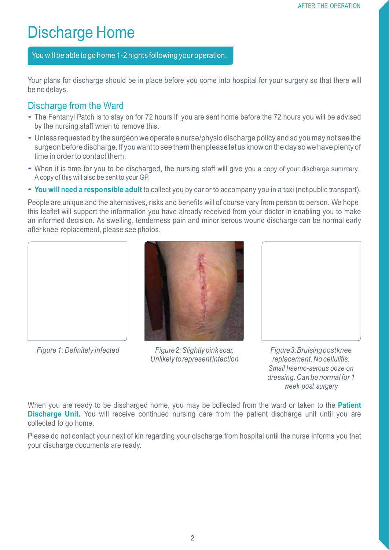# Discharge Home

You will be able to go home 1-2 nights following your operation.

Your plans for discharge should be in place before you come into hospital for your surgery so that there will be no delays.

#### Discharge from the Ward

- The Fentanyl Patch is to stay on for <sup>72</sup> hours if you are sent home before the <sup>72</sup> hours you will be advised by the nursing staff when to remove this.
- Unless requested by the surgeon we operate <sup>a</sup> nurse/physio discharge policy and so you may not see the surgeon before discharge. If you want to see them then please let us know on the day so we have plenty of time in order to contact them.
- When it is time for you to be discharged, the nursing staff will give you <sup>a</sup> copy of your discharge summary. A copy of this will also be sent to your GP.
- **You will need <sup>a</sup> responsible adult** to collect you by car or to accompany you in <sup>a</sup> taxi (not public transport).

People are unique and the alternatives, risks and benefits will of course vary from person to person. We hope this leaflet will support the information you have already received from your doctor in enabling you to make an informed decision. As swelling, tenderness pain and minor serous wound discharge can be normal early after knee replacement, please see photos.





*Figure 1: Definitely infected Figure2:Slightly pink scar. Unlikely torepresentinfection*

*Figure3:Bruisingpostknee replacement.No cellulitis. Small haemo-serous ooze on dressing. Can be normal for 1 week post surgery*

When you are ready to be discharged home, you may be collected from the ward or taken to the **Patient Discharge Unit.** You will receive continued nursing care from the patient discharge unit until you are collected to go home.

Please do not contact your next of kin regarding your discharge from hospital until the nurse informs you that your discharge documents are ready.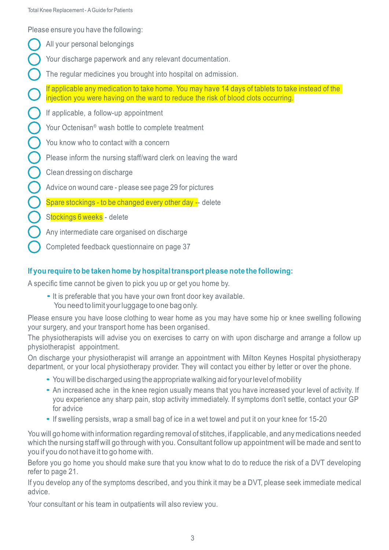Please ensure you have the following:

- All your personal belongings
- Your discharge paperwork and any relevant documentation.
- The regular medicines you brought into hospital on admission.

If applicable any medication to take home. You may have 14 days of tablets to take instead of the injection you were having on the ward to reduce the risk of blood clots occurring.

If applicable, a follow-up appointment

Your Octenisan® wash bottle to complete treatment

- You know who to contact with a concern
- Please inform the nursing staff/ward clerk on leaving the ward
- Clean dressing on discharge
- Advice on wound care please see page 29 for pictures
- Spare stockings to be changed every other day -- delete
- Stockings 6 weeks delete
- Any intermediate care organised on discharge
- Completed feedback questionnaire on page 37

#### **If you require to be taken home by hospitaltransport please note the following:**

A specific time cannot be given to pick you up or get you home by.

• It is preferable that you have your own front door key available. You need to limit your luggage to one bag only.

Please ensure you have loose clothing to wear home as you may have some hip or knee swelling following your surgery, and your transport home has been organised.

The physiotherapists will advise you on exercises to carry on with upon discharge and arrange a follow up physiotherapist appointment.

On discharge your physiotherapist will arrange an appointment with Milton Keynes Hospital physiotherapy department, or your local physiotherapy provider. They will contact you either by letter or over the phone.

- You will be discharged using the appropriate walking aid for yourlevel ofmobility
- An increased ache in the knee region usually means that you have increased your level of activity. If you experience any sharp pain, stop activity immediately. If symptoms don't settle, contact your GP for advice
- If swelling persists, wrap <sup>a</sup> small bag of ice in <sup>a</sup> wet towel and put it on your knee for 15-20

You will go home with information regarding removal of stitches, if applicable, and any medications needed which the nursing staff will go through with you. Consultant follow up appointment will be made and sent to you if you do not have it to go home with.

Before you go home you should make sure that you know what to do to reduce the risk of a DVT developing refer to page 21.

If you develop any of the symptoms described, and you think it may be a DVT, please seek immediate medical advice.

Your consultant or his team in outpatients will also review you.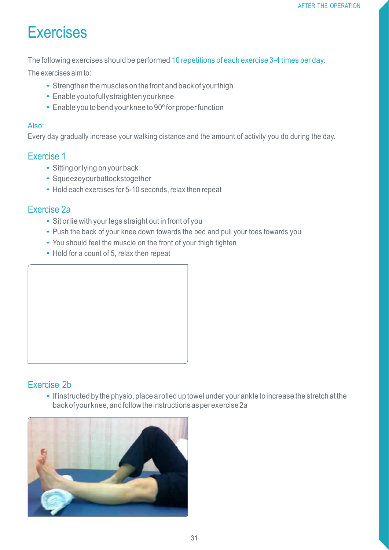# Exercises

The following exercises should be performed 10 repetitions of each exercise 3-4 times per day.

The exercises aim to:

- Strengthen the muscles on thefront and back of yourthigh
- Enable you to fully straighten your knee
- Enable you to bend your knee to 90° for proper function

#### Also:

Every day gradually increase your walking distance and the amount of activity you do during the day.

#### Exercise 1

- Sitting or lying on your back
- Squeezeyourbuttockstogether
- Hold each exercises for 5-10 seconds, relax then repeat

#### Exercise 2a

- Sit or lie with your legs straight out in front of you
- Push the back of your knee down towards the bed and pull your toes towards you
- You should feel the muscle on the front of your thigh tighten
- Hold for a count of 5, relax then repeat



# Exercise 2b

• If instructed by the physio, place a rolled up towel under your ankle to increase the stretch at the backofyourknee,andfollowtheinstructionsasperexercise2a

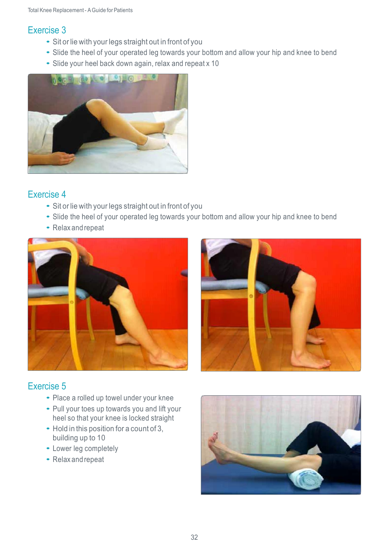## Exercise 3

- Sit or lie with your legs straight out in front of you
- Slide the heel of your operated leg towards your bottom and allow your hip and knee to bend
- Slide your heel back down again, relax and repeat <sup>x</sup> <sup>10</sup>



## Exercise 4

- Sit or lie with your legs straight out in front of you
- Slide the heel of your operated leg towards your bottom and allow your hip and knee to bend
- Relax and repeat





# Exercise 5

- Place <sup>a</sup> rolled up towel under your knee
- Pull your toes up towards you and lift your heel so that your knee is locked straight
- Hold in this position for <sup>a</sup> count of 3, building up to 10
- Lower leg completely
- Relax and repeat

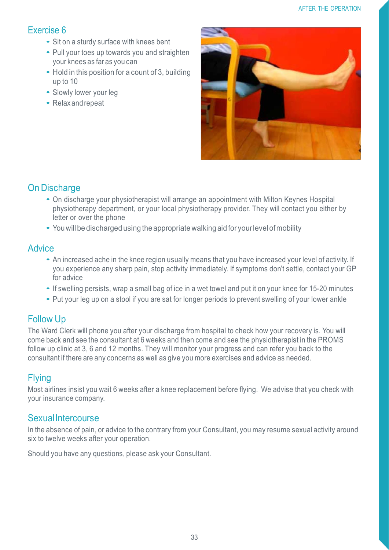# Exercise 6

- Sit on <sup>a</sup> sturdy surface with knees bent
- Pull your toes up towards you and straighten your knees as far as you can
- Hold in this position for a count of 3, building up to 10
- Slowly lower your leg
- Relax and repeat



# On Discharge

- On discharge your physiotherapist will arrange an appointment with Milton Keynes Hospital physiotherapy department, or your local physiotherapy provider. They will contact you either by letter or over the phone
- You will be discharged using the appropriate walking aid for yourlevel ofmobility

#### **Advice**

- An increased ache in the knee region usually means that you have increased your level of activity. If you experience any sharp pain, stop activity immediately. If symptoms don't settle, contact your GP for advice
- If swelling persists, wrap <sup>a</sup> small bag of ice in <sup>a</sup> wet towel and put it on your knee for 15-20 minutes
- Put your leg up on <sup>a</sup> stool if you are sat for longer periods to prevent swelling of your lower ankle

# Follow Up

The Ward Clerk will phone you after your discharge from hospital to check how your recovery is. You will come back and see the consultant at 6 weeks and then come and see the physiotherapist in the PROMS follow up clinic at 3, 6 and 12 months. They will monitor your progress and can refer you back to the consultant if there are any concerns as well as give you more exercises and advice as needed.

# Flying

Most airlines insist you wait 6 weeks after a knee replacement before flying. We advise that you check with your insurance company.

## **SexualIntercourse**

In the absence of pain, or advice to the contrary from your Consultant, you may resume sexual activity around six to twelve weeks after your operation.

Should you have any questions, please ask your Consultant.